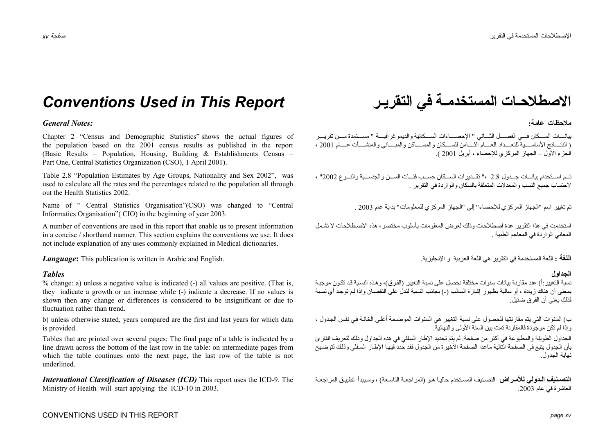# *Conventions Used in This Report* **التقريـر في المستخدمـة الاصطلاحـات**

### **عامة:** *:Notes General*

Chapter 2 "Census and Demographic Statistics" shows the actual figures of the population based on the 2001 census results as published in the report (Basic Results – Population, Housing, Building & Establishments Census – Part One, Central Statistics Organization (CSO), 1 April 2001).

Table 2.8 "Population Estimates by Age Groups, Nationality and Sex 2002", was used to calculate all the rates and the percentages related to the population all through out the Health Statistics 2002.

Name of " Central Statistics Organisation"(CSO) was changed to "Central Informatics Organisation"( CIO) in the beginning of year 2003.

A number of conventions are used in this report that enable us to present information in a concise / shorthand manner. This section explains the conventions we use. It does not include explanation of any uses commonly explained in Medical dictionaries.

*Language*: This publication is written in Arabic and English.

% change: a) unless a negative value is indicated (-) all values are positive. (That is, they indicate a growth or an increase while (-) indicate a decrease. If no values is shown then any change or differences is considered to be insignificant or due to fluctuation rather than trend.

b) unless otherwise stated, years compared are the first and last years for which data is provided.

Tables that are printed over several pages: The final page of a table is indicated by a line drawn across the bottom of the last row in the table: on intermediate pages from which the table continues onto the next page, the last row of the table is not underlined.

*International Classification of Diseases (ICD)* This report uses the ICD-9. The Ministry of Health will start applying the ICD-10 in 2003.

**ملاحظات**

بدانسات الســـكان فــــ الفصــــل الثـــاني " الإحصــــاءات الســـكانية و الديمو غر افيـــة " مســـتمدة مـــن تقريب ( النتسائج الأساسيــدة للتعبــداد العسـام الثــــامن للســـكان و المســـاكن و المديني و المنشــــأت عسـام 2001 ، الجزء الأول – الجهاز المرآزي للإحصاء ، أبريل 2001 ).

تـم اســتخدام بيانــات جــدول 2.8 ،" تقــدبرات الســكان حســب فئــات الســن والجنســبة والنــوع 2002" ، لاحتساب جميع النسب والمعدلات المتعلقة بالسكان والواردة في التقرير .

تم تغيير اسم "الجهاز المركزي للإحصاء" إلى "الجهاز المركزي للمعلومات" بداية عام 2003 .

استخدمت في هذا التقرير عدة اصطلاحات وذلك لعرض المعلومات بأسلوب مختصر ، هذه الاصطلاحات لا تشمل المعاني الواردة في المعاجم الطبية .

**اللغة :** اللغة المستخدمة في النقر بر هي اللغة العربية و الإنجليز بـة

### **الجداول** *Tables*

نسبة التغيير :أ) عند مقارنة بيانات سنوات مختلفة نحصل على نسبة التغيير (الفرق)، وهذه النسبة قد تكون موجبـة بمعنى أن هناك زيادة ، أو سالبة بظهور اشار ة السالب (-) بجانب النسبة لتدلُ على النقصـان وإذا لـم توجد أي نسبة فذلك يعني أن الفرق ضئيل.

ب) السنوات التي يتم مقارنتها للحصول على نسبة التغيير هي السنوات الموضحة أعلى الخانـة في نفس الجدول ، وإذا لم تكن موجودة فالمقارنة تمت بين السنة الأولى والنهائية.

الجداول الطويلة والمطبوعة في أكثر من صفحة: لم يتم تحديد الإطار السفلي في هذه الجداول وذلك لتعريف القارئ بأن الجدول يتبع في الصفحة التالية ماعدا الصفحة الأخير ة من الجدول فقد حدد فيها الإط\ر السفلي وذلك لتوضيح نهاية الجدول.

**التصنيف الـدولي للأمـراض** التصنيف المستخدم حاليـا هو (المر اجعـة التاسعة) ، وسبيدأ تطبيق المر اجعـة العاشرة في عام .2003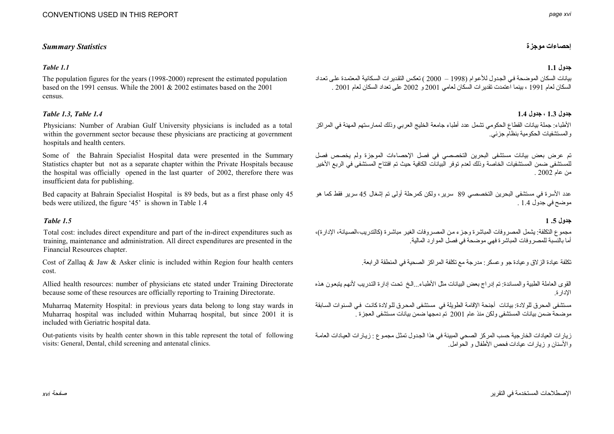### **إحصاءات موجزة** *Statistics Summary*

### **جدول 1.1** *1.1 Table*

The population figures for the years (1998-2000) represent the estimated population based on the 1991 census. While the 2001 & 2002 estimates based on the 2001 census.

### **جدول 1.3 ، جدول 1.4** *1.4 Table 1.3, Table*

Physicians: Number of Arabian Gulf University physicians is included as a total within the government sector because these physicians are practicing at government hospitals and health centers.

Some of the Bahrain Specialist Hospital data were presented in the Summary Statistics chapter but not as a separate chapter within the Private Hospitals because the hospital was officially opened in the last quarter of 2002, therefore there was insufficient data for publishing.

Bed capacity at Bahrain Specialist Hospital is 89 beds, but as a first phase only 45 beds were utilized, the figure '45' is shown in Table 1.4

### **جدول .5 1** *1.5 Table*

Total cost: includes direct expenditure and part of the in-direct expenditures such as training, maintenance and administration. All direct expenditures are presented in the Financial Resources chapter.

Cost of Zallaq & Jaw & Asker clinic is included within Region four health centers cost.

Allied health resources: number of physicians etc stated under Training Directorate because some of these resources are officially reporting to Training Directorate.

Muharraq Maternity Hospital: in previous years data belong to long stay wards in Muharraq hospital was included within Muharraq hospital, but since 2001 it is included with Geriatric hospital data.

Out-patients visits by health center shown in this table represent the total of following visits: General, Dental, child screening and antenatal clinics.

بيانات السكان الموضحة في الجدول للأعوام (1998 – 2000 ) تعكس التقدير ات السكانية المعتمدة على تعداد السكان لعام <sup>1991</sup> ، بينما اعتمدت تقديرات السكان لعامي <sup>2001</sup> <sup>و</sup> <sup>2002</sup> على تعداد السكان لعام 2001 .

الأطباء: جملة بيانات القطاع الحكومي تشمل عدد أطباء جامعة الخليج العربي وذلك لممارستهم المهنة في المر اكز والمستشفيات الحكومية بنظام جزئي.

تم عرض بعض بيانات مستشفى البحرين التخصصي في فصل الإحصاءات الموجزة ولم يخصص فصل للمستشفى ضمن المستشفيات الخاصة وذلك لعدم توفر البيانات الكافية حيث تم افتتاح المستشفى في الربع الأخير من عام 2002 .

عدد الأسرة في مستشفى البحرين التخصصي 89 سرير ، ولكن كمرحلة أولى تم إشغال 45 سرير فقط كما هو موضح في جدول 1.4 .

مجموع التكلفة: يشمل المصروفات المباشرة وجزء من المصروفات الغير مباشرة (كالتدريب،الصيانة، الإدارة)، أما بالنسبة للمصروفات المباشرة فهي موضحة في فصل الموارد المالية.

تكلفة عيادة الزلاق وعيادة جو وعسكر : مدرجة مع تكلفة المراكز الصحية في المنطقة الرابعة.

القوى العاملة الطبية والمساندة: تم إدراج بعض البيانات مثل الأطبـاء...الـخ تحت إدارة التدريب لأنهم يتبعون هذه الإدارة.

مستشفى المحر ق للو لادة: بيانات أجنحة الإقامة الطويلة في مستشفى المحر ق للو لادة كانت في السنوات السابقة موضحة ضمن بيانات المستشفى ولكن منذ عام <sup>2001</sup> تم دمجها ضمن بيانات مستشفى العجزة .

ز بار ات العبادات الخار جية حسب المركز الصحي المبينة في هذا الجدول تمثل مجموع : زيبار ات العيادات العامـة والأسنان <sup>و</sup> زيارات عيادات فحص الأطفال <sup>و</sup> الحوامل.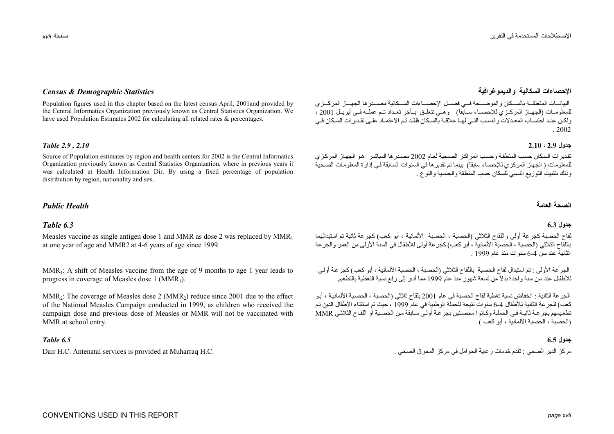Population figures used in this chapter based on the latest census April, 2001and provided by the Central Informatics Organization previously known as Central Statistics Organization. We have used Population Estimates 2002 for calculating all related rates & percentages.

### **جدول 2.9 ، 2.10** *2.10 , 2.9 Table*

Source of Population estimates by region and health centers for 2002 is the Central Informatics Organization previously known as Central Statistics Organization, where in previous years it was calculated at Health Information Dir. By using a fixed percentage of population distribution by region, nationality and sex.

### **العامة** *Health Public*

### *6.3 Table*

Measles vaccine as single antigen dose 1 and MMR as dose 2 was replaced by  $MMR_1$ at one year of age and MMR2 at 4-6 years of age since 1999.

MMR<sub>1</sub>: A shift of Measles vaccine from the age of 9 months to age 1 year leads to progress in coverage of Measles dose 1 ( $MMR_1$ ).

MMR<sub>2</sub>: The coverage of Measles dose 2 (MMR<sub>2</sub>) reduce since 2001 due to the effect of the National Measles Campaign conducted in 1999, as children who received the campaign dose and previous dose of Measles or MMR will not be vaccinated with MMR at school entry.

### **جدول 6.5** *6.5 Table*

## **الإحصاءات السكانية والديموغرافية** *Statistics Demographic & Census*

البيانسات المتعلقــة بالســكان والموضــحة فــه فصــل الإحصــاءات الســكانية مصـــدر ها الجهــاز المركــزي للمعلومـات (الجهـاز المركـزي للإحصـاء سـابقاً) وهـي تتعلـق بـآخر تعـداد تـم عملّـه فـي أبريـل 2001 ، ولكن عند احتسـاب المعـدلات والنسـب التـي لهـا علاقـة بالسـكان فلقـد تـم الاعتمـاد علـي تقـدبر ات السـكان فـي . 2002

تقدير ات السكان حسب المنطقة وحسب المراكز الصحية لعام 2002 مصدر ها المباشر هو الجهاز المركزي للمعلومات ( الجهاز المركزي للإحصاء سابقاً) بينما تم تقدير ها في السنوات السابقة في إدارة المعلومات الصحية وذلك بتثبيت التوزيع النسبي للسكان حسب المنطقة والجنسية والنوع .

### **الصحة**

### **جدول 6.3**

لقاح الحصبة كجرعة أولى واللقاح الثلاثي (الحصبة ، الحصبة الألمانية ، أبو كعب) كجرعة ثانية تم استبدالهما باللقاح الثلاثي (الحصبة ، الحصبة الألمانية ، أبو كعب) كجرعة أولى للأطفال في السنة الأولى من العمر والجرعة الثانية عند سن 6-4 سنوات منذ عام 1999 .

الجر عة الأولى : تم استبدال لقاح الحصبة باللقاح الثلاثي (الحصبة ، الحصبة الألمانية ، أبو كعب) كجر عة أولـى للأطفال عند سن سنة واحدة بدلاً من تسعة شهور منذ عام <sup>1999</sup> مما أدى إلى رفع نسبة التغطية بالتطعيم.

الجرعة الثانية : انخفاض نسبة تغطية لقاح الحصبة في عام 2001 بلقاح ثلاثي (الحصبة ، الحصبة الألمانية ، أبو .<br>كعب) للحر عة الثانية للأطفال 4-6 سنو ات نتيجة للحملة الوطنية في عام 1999 ، حيث تم استثناء الأطفال الذين تم تطعيمهم بجر عـة ثانيـة فـي الحملـة و كـانو ا محصـنين بجر عـة أو لـي سـابقة مـن الحصـبة أو اللقـاح الثلاثـي MMR (الحصبة ، الحصبة الألمانية ، أبو كعب )

مرآز الدير الصحي : تقدم خدمات رعاية الحوامل في مرآز المحرق الصحي . .C.H Muharraq at provided is services Antenatal .C.H Dair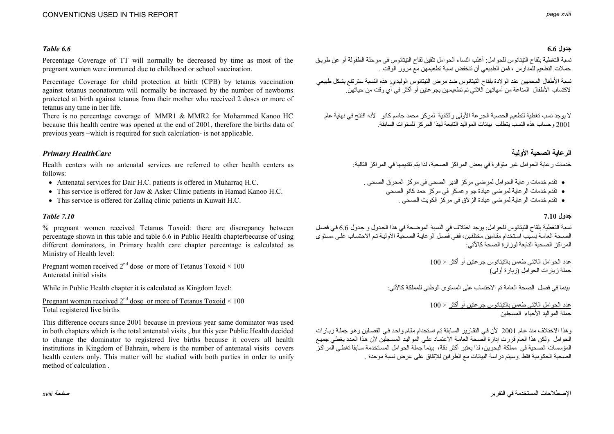### **جدول 6.6** *6.6 Table*

Percentage Coverage of TT will normally be decreased by time as most of the pregnant women were immuned due to childhood or school vaccination.

Percentage Coverage for child protection at birth (CPB) by tetanus vaccination against tetanus neonatorum will normally be increased by the number of newborns protected at birth against tetanus from their mother who received 2 doses or more of tetanus any time in her life.

There is no percentage coverage of MMR1 & MMR2 for Mohammed Kanoo HC because this health centre was opened at the end of 2001, therefore the births data of previous years –which is required for such calculation- is not applicable.

# **الرعاية الصحية الأولية** *HealthCare Primary*

Health centers with no antenatal services are referred to other health centers as follows:

- Antenatal services for Dair H.C. patients is offered in Muharraq H.C.
- This service is offered for Jaw & Asker Clinic patients in Hamad Kanoo H.C.
- This service is offered for Zallaq clinic patients in Kuwait H.C.

### **جدول 7.10** *7.10 Table*

% pregnant women received Tetanus Toxoid: there are discrepancy between percentage shown in this table and table 6.6 in Public Health chapterbecause of using different dominators, in Primary health care chapter percentage is calculated as Ministry of Health level:

Pregnant women received  $2^{nd}$  dose or more of Tetanus Toxoid  $\times 100$ Antenatal initial visits

While in Public Health chapter it is calculated as Kingdom level:

Pregnant women received  $2^{nd}$  dose or more of Tetanus Toxoid  $\times$  100 Total registered live births

This difference occurs since 2001 because in previous year same dominator was used in both chapters which is the total antenatal visits , but this year Public Health decided to change the dominator to registered live births because it covers all health institutions in Kingdom of Bahrain, where is the number of antenatal visits covers health centers only. This matter will be studied with both parties in order to unify method of calculation .

نسبة التغطية بلقاح التيتانوس للحوامل: أغلب النساء الحوامل تلقين لقاح التيتانوس في مرحلة الطفولة أو عن طريѧق حملات التطعيم للمدارس ، فمن الطبيعي أن تنخفض نسبة تطعيمهن مع مرور الوقت .

نسبة الأطفال المحميين عند الولادة بلقاح التيتانوس ضد مرض التيتانوس الوليدي: هذه النسبة سترتفع بشكل طبيعي لاآتساب الأطفال المناعة من أمهاتهن اللاتي تم تطعيمهن بجرعتين أو أآثر في أي وقت من حياتهن.

لا يوجد نسب تغطية لتطعيم الحصبة الجرعة الأولى والثانية لمركز محمد جاسم كانو للأنه افتتح في نهاية عام 2001 وحساب هذه النسب يتطلب بيانات المواليد التابعة لهذا المركز للسنوات السابقة.

خدمات ر عاية الحوامل غير متوفرة في بعض المراكز الصحية، لذا يتم تقديمها في المراكز التالية:

- تقدم خدمات رعاية الحوامل لمرضى مرآز الدير الصحي في مرآز المحرق الصحي .
	- تقدم خدمات الرعاية لمرضى عيادة جو وعسكر في مرآز حمد آانو الصحي
		- تقدم خدمات الرعاية لمرضى عيادة الزلاق في مرآز الكويت الصحي .

نسبة التغطية بلقاح التيتانوس للحوامل: يوجد اختلاف في النسبة الموضحة في هذا الجدول و جدول 6.6 في فصل الصحة العامة بسبب استخدام مقامين مختلفين، ففي فصل الرعايـة الصحية الأوليـة تم الاحتساب علـى مستوى المر اكز الصحية التابعة لوز ار ة الصحة كالآتي:

> عدد الحوامل اللاتي طعمن بالتيتانوس جرعتين أو أآثر × 100 جملة زيارات الحوامل (زيارة أولى)

بينما في فصل الصحة العامة تم الاحتساب على المستوى الوطني للمملكة كالآتي:

عدد الحوامل اللاتي طعمن بالتيتانوس جرعتين أو أآثر × 100 جملة المواليد الأحياء المسجلين

وهذا الاختلاف منذ عام 2001 لأن في التقارير السابقة تم استخدام مقام واحد في الفصلين وهو جملة زيارات الحوامل ولكن هذا العام قررت إدارة الصحة العامѧة الاعتمѧاد علѧى المواليѧد المسѧجلين لأن هѧذا العѧدد يغطѧي جميѧع المؤسسات الصحية في مملكة البحرين، لذا يعتبر أكثر دقة، بينما جملة الحوامل المستخدمة سابقاً تغطي الّمر اكز الصحية الحكومية فقط .وسيتم دراسة البيانات مع الطرفين للإتفاق على عرض نسبة موحدة .

الإصطلاحات المستخدمة في التقرير صفحة *xviii*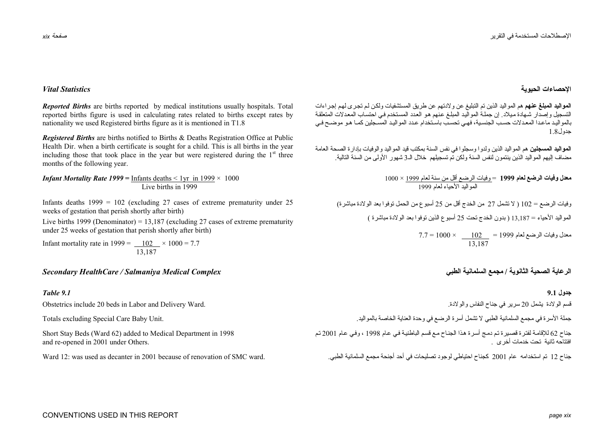### **الإحصاءات الحيوية** *Statistics Vital*

**المواليد المبلغ عنهم** هم المواليد الذين تم التبليغ عن ولادتهم عن طريق المستشفيات ولكѧن لѧم تجѧرى لهѧم إجѧراءات التسجيل وإصدار شهادة ميلاد. إن جملـة المواليد المبلـغ عنهم هو العدد المستخدم في احتساب المعدلات المتعلقة بالمو اليد ماعدا المعدلات حسب الجنسية، فهي تحسب باستخدام عدد المواليد المسجلين كمبا هو موضيح في جدول1.8

**المواليد المسجلين** هم المواليد الذين ولدوا وسجلوا في نفس السنة بمكتب قيد المواليد والوفيات بإدارة الصحة العامة مضاف إليهم المواليد الذين ينتمون لنفس السنة ولكن تم تسجيلهم خلال الـ<sup>3</sup> شهور الأولى من السنة التالية.

> **معدل وفيات الرضع لعام <sup>1999</sup>**<sup>=</sup> وفيات الرضع أقل من سنة لعام <sup>1999</sup> × 1000 المواليد الأحياء لعام <sup>1999</sup>

وفيات الرضع = 102 ( لا تشمل <sup>27</sup> من الخدج أقل من <sup>25</sup> أسبوع من الحمل توفوا بعد الولادة مباشرة)

المواليد الأحياء = 13,187 ( بدون الخدج تحت <sup>25</sup> أسبوع الذين توفوا بعد الولادة مباشرة )

 $7.7 = 1000 \times 102 = 1999$  معدل وفيات الرضع لعام 1999 13,187

قسم الولادة يشمل <sup>20</sup> سرير في جناح النفاس والولادة.

جملة الأسرة في مجمع السلمانية الطبي لا تشمل أسرة الرضع في وحدة العناية الخاصة بالمواليد.

جناح 62 للإقامـة لفترة قصـيرة تم دمج أسرة هذا الجنـاح مـع قسم الباطنيـة فـي عـام 1998 ، وفـي عـام 2001 تم افتتاحه ثانية تحت خدمات أخرى .

جناح <sup>12</sup> تم استخدامه عام <sup>2001</sup> آجناح احتياطي لوجود تصليحات في أحد أجنحة مجمع السلمانية الطبي.

*Reported Births* are births reported by medical institutions usually hospitals. Total reported births figure is used in calculating rates related to births except rates by nationality we used Registered births figure as it is mentioned in T1.8

*Registered Births* are births notified to Births & Deaths Registration Office at Public Health Dir. when a birth certificate is sought for a child. This is all births in the year including those that took place in the year but were registered during the  $1<sup>st</sup>$  three months of the following year.

*Infant Mortality Rate 1999* = Infants deaths  $\lt 1$ yr in 1999  $\times$  1000 Live births in 1999

Infants deaths  $1999 = 102$  (excluding 27 cases of extreme prematurity under 25 weeks of gestation that perish shortly after birth)

Live births 1999 (Denominator) = 13,187 (excluding 27 cases of extreme prematurity under 25 weeks of gestation that perish shortly after birth)

Infant mortality rate in 1999 =  $\underline{102} \times 1000 = 7.7$ 13,187

### **الرعاية الصحية الثانوية / مجمع السلمانية الطبي** *Complex Medical Salmaniya / HealthCare Secondary*

### **جدول 9.1** *9.1 Table*

Obstetrics include 20 beds in Labor and Delivery Ward.

Totals excluding Special Care Baby Unit.

Short Stay Beds (Ward 62) added to Medical Department in 1998 and re-opened in 2001 under Others.

Ward 12: was used as decanter in 2001 because of renovation of SMC ward.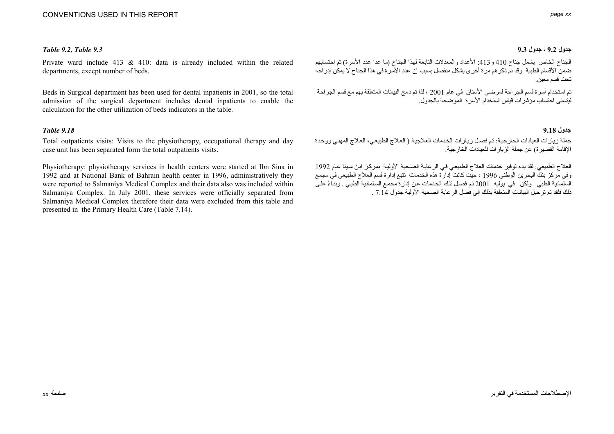### **جدول 9.2 ، جدول 9.3** *9.3 Table**9.2***,** *Table*

Private ward include 413 & 410: data is already included within the related departments, except number of beds.

Beds in Surgical department has been used for dental inpatients in 2001, so the total admission of the surgical department includes dental inpatients to enable the calculation for the other utilization of beds indicators in the table.

### **جدول 9.18** *9.18 Table*

Total outpatients visits: Visits to the physiotherapy, occupational therapy and day case unit has been separated form the total outpatients visits.

Physiotherapy: physiotherapy services in health centers were started at Ibn Sina in 1992 and at National Bank of Bahrain health center in 1996, administratively they were reported to Salmaniya Medical Complex and their data also was included within Salmaniya Complex. In July 2001, these services were officially separated from Salmaniya Medical Complex therefore their data were excluded from this table and presented in the Primary Health Care (Table 7.14).

الجناح الخاص يشمل جناح <sup>410</sup> <sup>و</sup>:413 الأعداد والمعدلات التابعة لهذا الجناح (ما عدا عدد الأسرة) تم احتسابهم ضمن الأقسام الطبية وقد تم ذكر هم مر ة أخر ى بشكل منفصل بسبب إن عدد الأسر ة في هذا الجناح لا يمكن إدر اجه تحت قسم معين.

تم استخدام أسرة قسم الجراحة لمرضى الأسنان في عام <sup>2001</sup> ، لذا تم دمج البيانات المتعلقة بهم مع قسم الجراحة ليتسنى احتساب مؤشرات قياس استخدام الأسرة الموضحة بالجدول.

جملة زيارات العيادات الخارجية: تم فصل زيارات الخدمات العلاجية ( العلاج الطبيعي، العلاج المهني ووحدة الإقامة القصيرة) عن جملة الزيارات للعيادات الخارجية.

العلاج الطبيعي: لقد بدء توفير خدمات العلاج الطبيعي في الرعايـة الصـحية الأوليـة بمركز ابن سينا عام 1992 وفي مركز بنكَ البحرين الوطني 1996 ، حيث كانت إدارة هذه الخدمات تتبع إدارة قسم العلاج الطبيعي في مجمع السلّمانية الطبي . ولكن في يوليه 2001 تم فصل تلك الخدمات عن إدارة مجمع السلمانية الطبـي . وبنـاءً علـي ذلك فلقد تم ترحيل البيانات المتعلقة بذلك إلى فصل الرعاية الصحية الأولية جدول 7.14 .